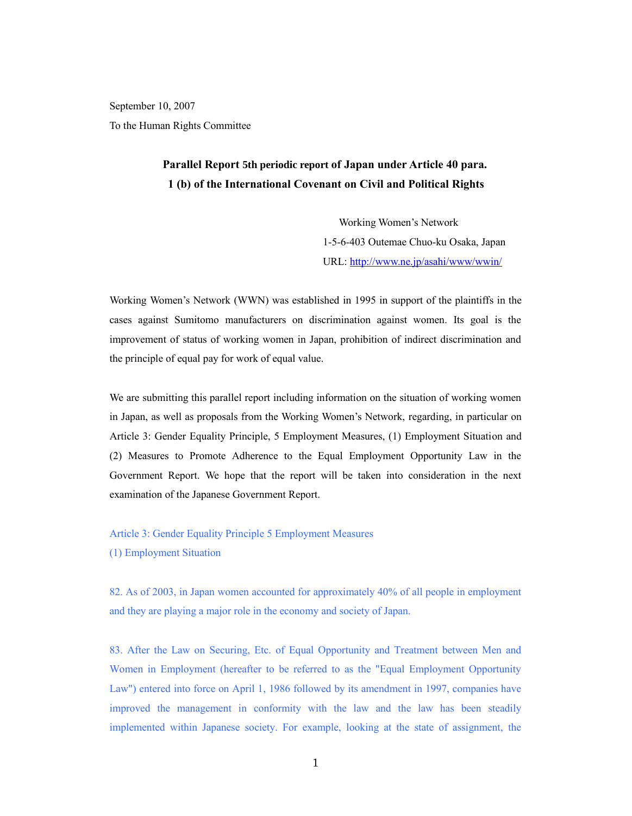September 10, 2007 To the Human Rights Committee

# **Parallel Report 5th periodic report of Japan under Article 40 para. 1 (b) of the International Covenant on Civil and Political Rights**

Working Women's Network 1-5-6-403 Outemae Chuo-ku Osaka, Japan URL: http://www.ne.jp/asahi/www/wwin/

Working Women's Network (WWN) was established in 1995 in support of the plaintiffs in the cases against Sumitomo manufacturers on discrimination against women. Its goal is the improvement of status of working women in Japan, prohibition of indirect discrimination and the principle of equal pay for work of equal value.

We are submitting this parallel report including information on the situation of working women in Japan, as well as proposals from the Working Women's Network, regarding, in particular on Article 3: Gender Equality Principle, 5 Employment Measures, (1) Employment Situation and (2) Measures to Promote Adherence to the Equal Employment Opportunity Law in the Government Report. We hope that the report will be taken into consideration in the next examination of the Japanese Government Report.

## Article 3: Gender Equality Principle 5 Employment Measures

(1) Employment Situation

82. As of 2003, in Japan women accounted for approximately 40% of all people in employment and they are playing a major role in the economy and society of Japan.

83. After the Law on Securing, Etc. of Equal Opportunity and Treatment between Men and Women in Employment (hereafter to be referred to as the "Equal Employment Opportunity Law") entered into force on April 1, 1986 followed by its amendment in 1997, companies have improved the management in conformity with the law and the law has been steadily implemented within Japanese society. For example, looking at the state of assignment, the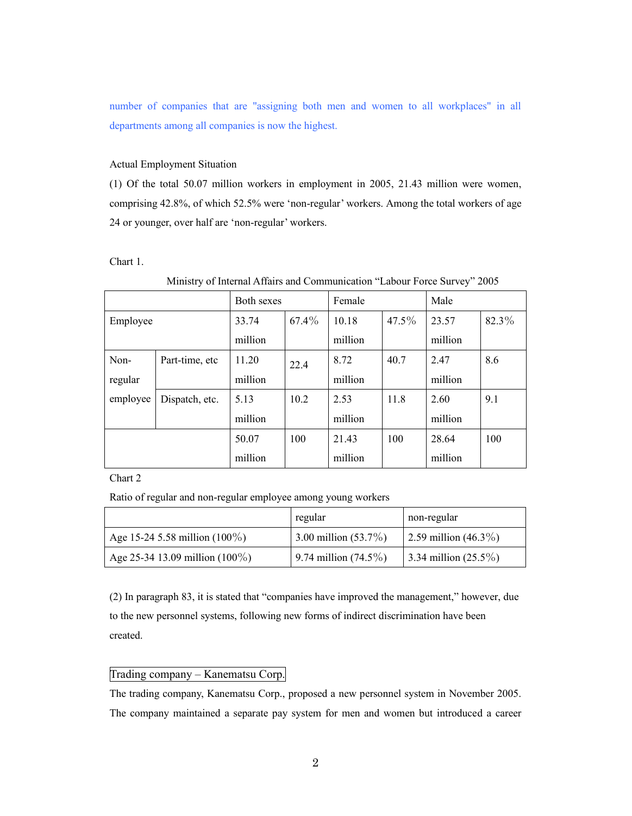number of companies that are "assigning both men and women to all workplaces" in all departments among all companies is now the highest.

## Actual Employment Situation

(1) Of the total 50.07 million workers in employment in 2005, 21.43 million were women, comprising 42.8%, of which 52.5% were 'non-regular' workers. Among the total workers of age 24 or younger, over half are 'non-regular' workers.

#### Chart 1.

|          |                | Both sexes |       | Female  |       | Male    |       |
|----------|----------------|------------|-------|---------|-------|---------|-------|
| Employee |                | 33.74      | 67.4% | 10.18   | 47.5% | 23.57   | 82.3% |
|          |                | million    |       | million |       | million |       |
| Non-     | Part-time, etc | 11.20      | 22.4  | 8.72    | 40.7  | 2.47    | 8.6   |
| regular  |                | million    |       | million |       | million |       |
| employee | Dispatch, etc. | 5.13       | 10.2  | 2.53    | 11.8  | 2.60    | 9.1   |
|          |                | million    |       | million |       | million |       |
|          |                | 50.07      | 100   | 21.43   | 100   | 28.64   | 100   |
|          |                | million    |       | million |       | million |       |

## Ministry of Internal Affairs and Communication "Labour Force Survey" 2005

Chart 2

Ratio of regular and non-regular employee among young workers

|                                   | regular                    | non-regular             |
|-----------------------------------|----------------------------|-------------------------|
| Age 15-24 5.58 million $(100\%)$  | $13.00$ million $(53.7\%)$ | 2.59 million $(46.3\%)$ |
| Age 25-34 13.09 million $(100\%)$ | 9.74 million $(74.5\%)$    | 3.34 million $(25.5\%)$ |

(2) In paragraph 83, it is stated that "companies have improved the management," however, due to the new personnel systems, following new forms of indirect discrimination have been created.

## Trading company – Kanematsu Corp.

The trading company, Kanematsu Corp., proposed a new personnel system in November 2005. The company maintained a separate pay system for men and women but introduced a career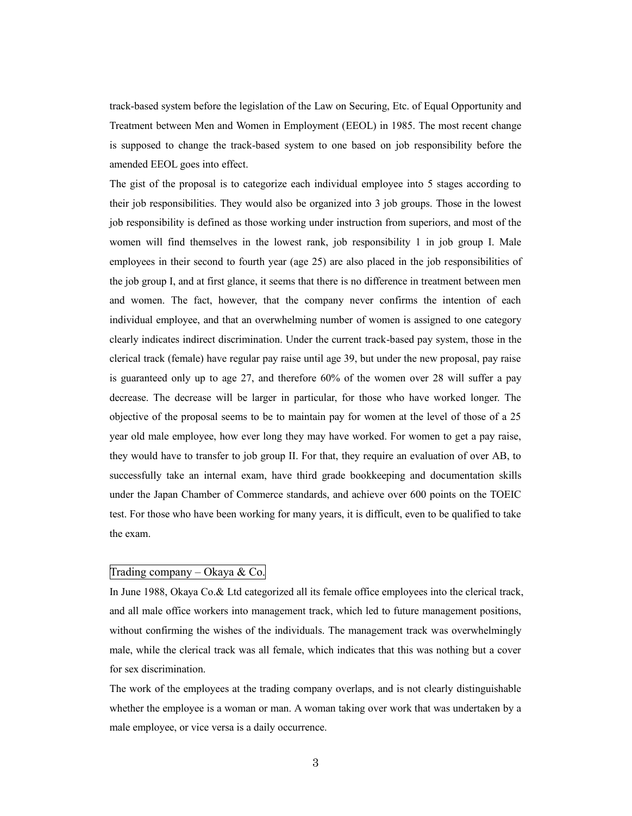track-based system before the legislation of the Law on Securing, Etc. of Equal Opportunity and Treatment between Men and Women in Employment (EEOL) in 1985. The most recent change is supposed to change the track-based system to one based on job responsibility before the amended EEOL goes into effect.

The gist of the proposal is to categorize each individual employee into 5 stages according to their job responsibilities. They would also be organized into 3 job groups. Those in the lowest job responsibility is defined as those working under instruction from superiors, and most of the women will find themselves in the lowest rank, job responsibility 1 in job group I. Male employees in their second to fourth year (age 25) are also placed in the job responsibilities of the job group I, and at first glance, it seems that there is no difference in treatment between men and women. The fact, however, that the company never confirms the intention of each individual employee, and that an overwhelming number of women is assigned to one category clearly indicates indirect discrimination. Under the current track-based pay system, those in the clerical track (female) have regular pay raise until age 39, but under the new proposal, pay raise is guaranteed only up to age 27, and therefore 60% of the women over 28 will suffer a pay decrease. The decrease will be larger in particular, for those who have worked longer. The objective of the proposal seems to be to maintain pay for women at the level of those of a 25 year old male employee, how ever long they may have worked. For women to get a pay raise, they would have to transfer to job group II. For that, they require an evaluation of over AB, to successfully take an internal exam, have third grade bookkeeping and documentation skills under the Japan Chamber of Commerce standards, and achieve over 600 points on the TOEIC test. For those who have been working for many years, it is difficult, even to be qualified to take the exam.

## Trading company – Okaya & Co.

In June 1988, Okaya Co.& Ltd categorized all its female office employees into the clerical track, and all male office workers into management track, which led to future management positions, without confirming the wishes of the individuals. The management track was overwhelmingly male, while the clerical track was all female, which indicates that this was nothing but a cover for sex discrimination.

The work of the employees at the trading company overlaps, and is not clearly distinguishable whether the employee is a woman or man. A woman taking over work that was undertaken by a male employee, or vice versa is a daily occurrence.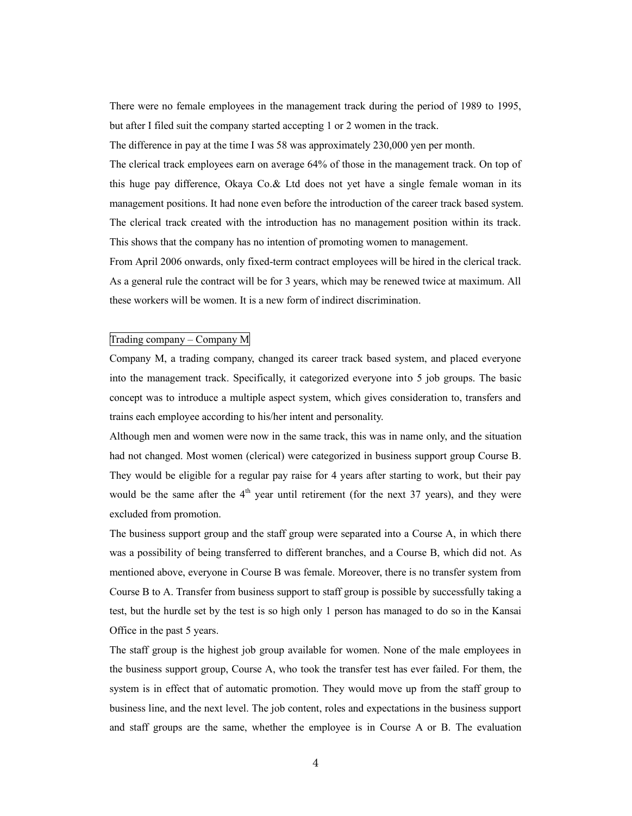There were no female employees in the management track during the period of 1989 to 1995, but after I filed suit the company started accepting 1 or 2 women in the track.

The difference in pay at the time I was 58 was approximately 230,000 yen per month.

The clerical track employees earn on average 64% of those in the management track. On top of this huge pay difference, Okaya Co.& Ltd does not yet have a single female woman in its management positions. It had none even before the introduction of the career track based system. The clerical track created with the introduction has no management position within its track. This shows that the company has no intention of promoting women to management.

From April 2006 onwards, only fixed-term contract employees will be hired in the clerical track. As a general rule the contract will be for 3 years, which may be renewed twice at maximum. All these workers will be women. It is a new form of indirect discrimination.

#### Trading company – Company M

Company M, a trading company, changed its career track based system, and placed everyone into the management track. Specifically, it categorized everyone into 5 job groups. The basic concept was to introduce a multiple aspect system, which gives consideration to, transfers and trains each employee according to his/her intent and personality.

Although men and women were now in the same track, this was in name only, and the situation had not changed. Most women (clerical) were categorized in business support group Course B. They would be eligible for a regular pay raise for 4 years after starting to work, but their pay would be the same after the  $4<sup>th</sup>$  year until retirement (for the next 37 years), and they were excluded from promotion.

The business support group and the staff group were separated into a Course A, in which there was a possibility of being transferred to different branches, and a Course B, which did not. As mentioned above, everyone in Course B was female. Moreover, there is no transfer system from Course B to A. Transfer from business support to staff group is possible by successfully taking a test, but the hurdle set by the test is so high only 1 person has managed to do so in the Kansai Office in the past 5 years.

The staff group is the highest job group available for women. None of the male employees in the business support group, Course A, who took the transfer test has ever failed. For them, the system is in effect that of automatic promotion. They would move up from the staff group to business line, and the next level. The job content, roles and expectations in the business support and staff groups are the same, whether the employee is in Course A or B. The evaluation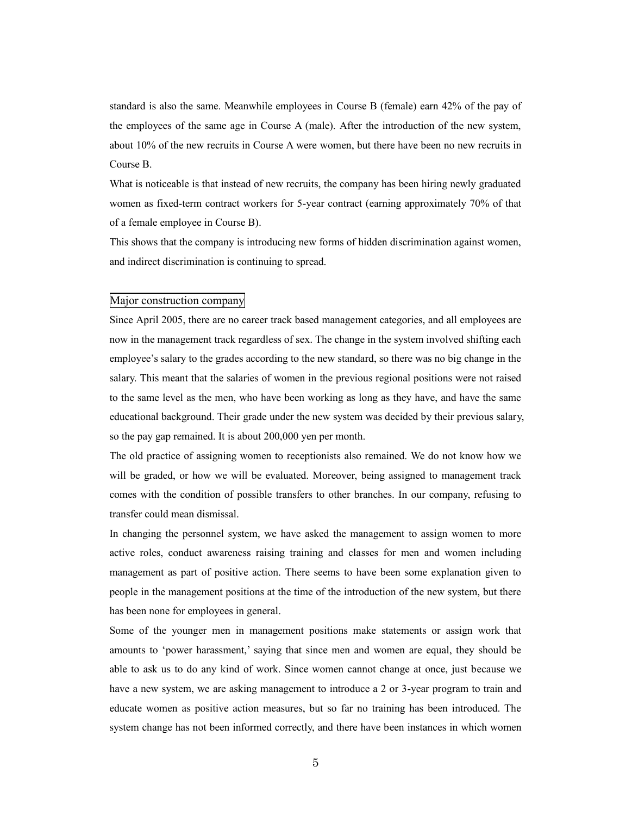standard is also the same. Meanwhile employees in Course B (female) earn 42% of the pay of the employees of the same age in Course A (male). After the introduction of the new system, about 10% of the new recruits in Course A were women, but there have been no new recruits in Course B.

What is noticeable is that instead of new recruits, the company has been hiring newly graduated women as fixed-term contract workers for 5-year contract (earning approximately 70% of that of a female employee in Course B).

This shows that the company is introducing new forms of hidden discrimination against women, and indirect discrimination is continuing to spread.

## Major construction company

Since April 2005, there are no career track based management categories, and all employees are now in the management track regardless of sex. The change in the system involved shifting each employee's salary to the grades according to the new standard, so there was no big change in the salary. This meant that the salaries of women in the previous regional positions were not raised to the same level as the men, who have been working as long as they have, and have the same educational background. Their grade under the new system was decided by their previous salary, so the pay gap remained. It is about 200,000 yen per month.

The old practice of assigning women to receptionists also remained. We do not know how we will be graded, or how we will be evaluated. Moreover, being assigned to management track comes with the condition of possible transfers to other branches. In our company, refusing to transfer could mean dismissal.

In changing the personnel system, we have asked the management to assign women to more active roles, conduct awareness raising training and classes for men and women including management as part of positive action. There seems to have been some explanation given to people in the management positions at the time of the introduction of the new system, but there has been none for employees in general.

Some of the younger men in management positions make statements or assign work that amounts to 'power harassment,' saying that since men and women are equal, they should be able to ask us to do any kind of work. Since women cannot change at once, just because we have a new system, we are asking management to introduce a 2 or 3-year program to train and educate women as positive action measures, but so far no training has been introduced. The system change has not been informed correctly, and there have been instances in which women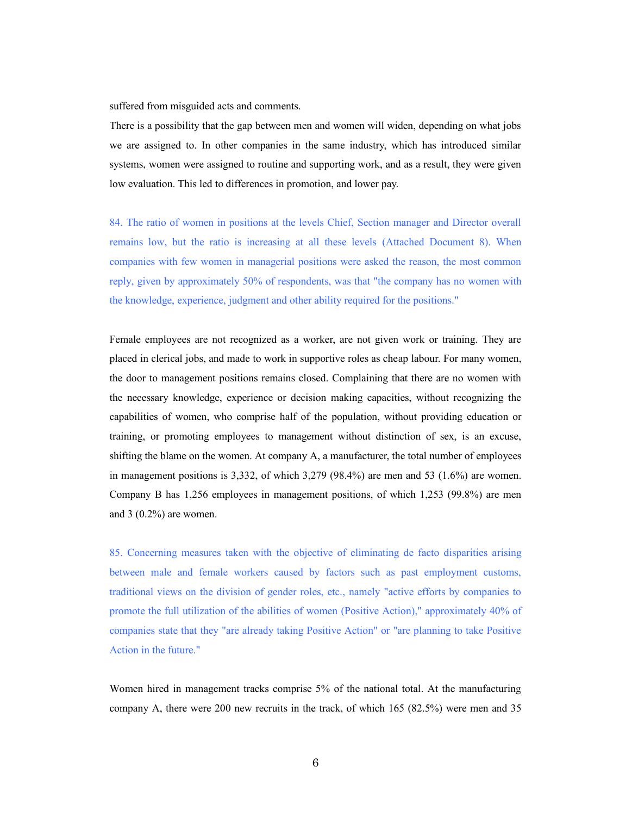suffered from misguided acts and comments.

There is a possibility that the gap between men and women will widen, depending on what jobs we are assigned to. In other companies in the same industry, which has introduced similar systems, women were assigned to routine and supporting work, and as a result, they were given low evaluation. This led to differences in promotion, and lower pay.

84. The ratio of women in positions at the levels Chief, Section manager and Director overall remains low, but the ratio is increasing at all these levels (Attached Document 8). When companies with few women in managerial positions were asked the reason, the most common reply, given by approximately 50% of respondents, was that "the company has no women with the knowledge, experience, judgment and other ability required for the positions."

Female employees are not recognized as a worker, are not given work or training. They are placed in clerical jobs, and made to work in supportive roles as cheap labour. For many women, the door to management positions remains closed. Complaining that there are no women with the necessary knowledge, experience or decision making capacities, without recognizing the capabilities of women, who comprise half of the population, without providing education or training, or promoting employees to management without distinction of sex, is an excuse, shifting the blame on the women. At company A, a manufacturer, the total number of employees in management positions is  $3,332$ , of which  $3,279$  (98.4%) are men and  $53$  (1.6%) are women. Company B has 1,256 employees in management positions, of which 1,253 (99.8%) are men and 3 (0.2%) are women.

85. Concerning measures taken with the objective of eliminating de facto disparities arising between male and female workers caused by factors such as past employment customs, traditional views on the division of gender roles, etc., namely "active efforts by companies to promote the full utilization of the abilities of women (Positive Action)," approximately 40% of companies state that they "are already taking Positive Action" or "are planning to take Positive Action in the future."

Women hired in management tracks comprise 5% of the national total. At the manufacturing company A, there were 200 new recruits in the track, of which 165 (82.5%) were men and 35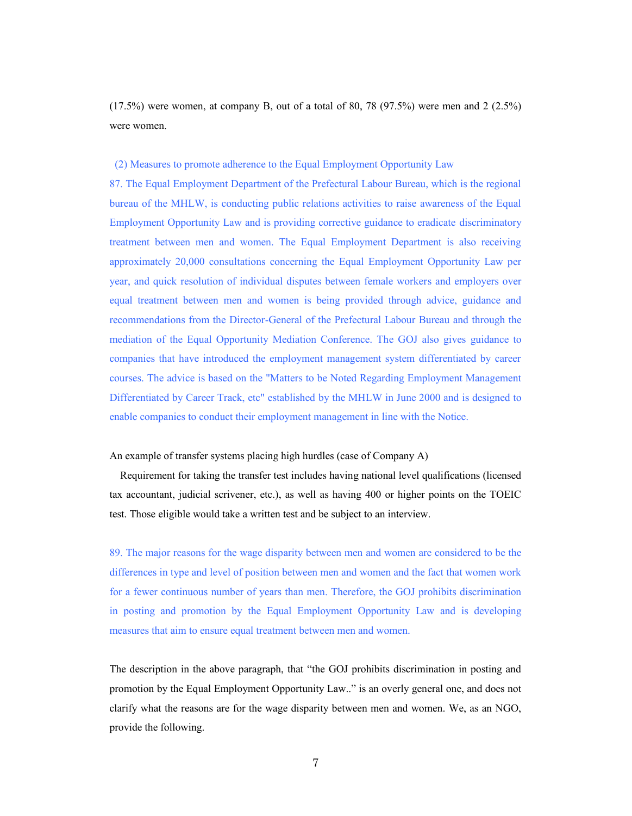$(17.5\%)$  were women, at company B, out of a total of 80, 78  $(97.5\%)$  were men and 2  $(2.5\%)$ were women.

## (2) Measures to promote adherence to the Equal Employment Opportunity Law

87. The Equal Employment Department of the Prefectural Labour Bureau, which is the regional bureau of the MHLW, is conducting public relations activities to raise awareness of the Equal Employment Opportunity Law and is providing corrective guidance to eradicate discriminatory treatment between men and women. The Equal Employment Department is also receiving approximately 20,000 consultations concerning the Equal Employment Opportunity Law per year, and quick resolution of individual disputes between female workers and employers over equal treatment between men and women is being provided through advice, guidance and recommendations from the Director-General of the Prefectural Labour Bureau and through the mediation of the Equal Opportunity Mediation Conference. The GOJ also gives guidance to companies that have introduced the employment management system differentiated by career courses. The advice is based on the "Matters to be Noted Regarding Employment Management Differentiated by Career Track, etc" established by the MHLW in June 2000 and is designed to enable companies to conduct their employment management in line with the Notice.

## An example of transfer systems placing high hurdles (case of Company A)

Requirement for taking the transfer test includes having national level qualifications (licensed tax accountant, judicial scrivener, etc.), as well as having 400 or higher points on the TOEIC test. Those eligible would take a written test and be subject to an interview.

89. The major reasons for the wage disparity between men and women are considered to be the differences in type and level of position between men and women and the fact that women work for a fewer continuous number of years than men. Therefore, the GOJ prohibits discrimination in posting and promotion by the Equal Employment Opportunity Law and is developing measures that aim to ensure equal treatment between men and women.

The description in the above paragraph, that "the GOJ prohibits discrimination in posting and promotion by the Equal Employment Opportunity Law.." is an overly general one, and does not clarify what the reasons are for the wage disparity between men and women. We, as an NGO, provide the following.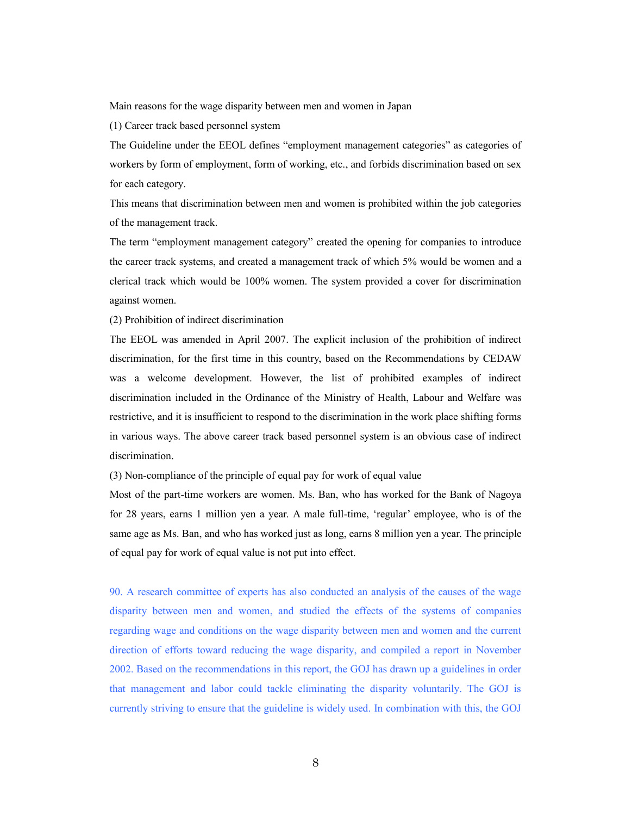Main reasons for the wage disparity between men and women in Japan

(1) Career track based personnel system

The Guideline under the EEOL defines "employment management categories" as categories of workers by form of employment, form of working, etc., and forbids discrimination based on sex for each category.

This means that discrimination between men and women is prohibited within the job categories of the management track.

The term "employment management category" created the opening for companies to introduce the career track systems, and created a management track of which 5% would be women and a clerical track which would be 100% women. The system provided a cover for discrimination against women.

(2) Prohibition of indirect discrimination

The EEOL was amended in April 2007. The explicit inclusion of the prohibition of indirect discrimination, for the first time in this country, based on the Recommendations by CEDAW was a welcome development. However, the list of prohibited examples of indirect discrimination included in the Ordinance of the Ministry of Health, Labour and Welfare was restrictive, and it is insufficient to respond to the discrimination in the work place shifting forms in various ways. The above career track based personnel system is an obvious case of indirect discrimination.

(3) Non-compliance of the principle of equal pay for work of equal value

Most of the part-time workers are women. Ms. Ban, who has worked for the Bank of Nagoya for 28 years, earns 1 million yen a year. A male full-time, 'regular' employee, who is of the same age as Ms. Ban, and who has worked just as long, earns 8 million yen a year. The principle of equal pay for work of equal value is not put into effect.

90. A research committee of experts has also conducted an analysis of the causes of the wage disparity between men and women, and studied the effects of the systems of companies regarding wage and conditions on the wage disparity between men and women and the current direction of efforts toward reducing the wage disparity, and compiled a report in November 2002. Based on the recommendations in this report, the GOJ has drawn up a guidelines in order that management and labor could tackle eliminating the disparity voluntarily. The GOJ is currently striving to ensure that the guideline is widely used. In combination with this, the GOJ